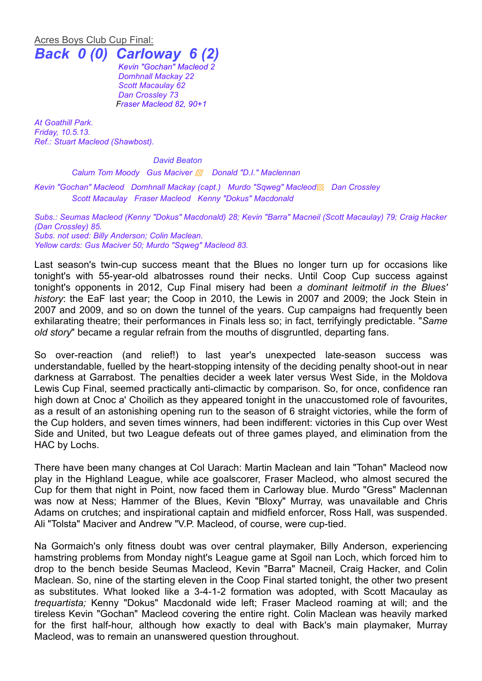## Acres Boys Club Cup Final: *Back 0 (0) Carloway 6 (2)*

*Kevin "Gochan" Macleod 2 Domhnall Mackay 22 Scott Macaulay 62 Dan Crossley 73 Fraser Macleod 82, 90+1*

*At Goathill Park. Friday, 10.5.13. Ref.: Stuart Macleod (Shawbost).*

*David Beaton*

*Calum Tom Moody Gus Maciver ▩ Donald "D.I." Maclennan*

*Kevin "Gochan" Macleod Domhnall Mackay (capt.) Murdo "Sqweg" Macleod*▩ *Dan Crossley Scott Macaulay Fraser Macleod Kenny "Dokus" Macdonald*

*Subs.: Seumas Macleod (Kenny "Dokus" Macdonald) 28; Kevin "Barra" Macneil (Scott Macaulay) 79; Craig Hacker (Dan Crossley) 85. Subs. not used: Billy Anderson; Colin Maclean. Yellow cards: Gus Maciver 50; Murdo "Sqweg" Macleod 83.*

Last season's twin-cup success meant that the Blues no longer turn up for occasions like tonight's with 55-year-old albatrosses round their necks. Until Coop Cup success against tonight's opponents in 2012, Cup Final misery had been *a dominant leitmotif in the Blues' history*: the EaF last year; the Coop in 2010, the Lewis in 2007 and 2009; the Jock Stein in 2007 and 2009, and so on down the tunnel of the years. Cup campaigns had frequently been exhilarating theatre; their performances in Finals less so; in fact, terrifyingly predictable. "*Same old story*" became a regular refrain from the mouths of disgruntled, departing fans.

So over-reaction (and relief!) to last year's unexpected late-season success was understandable, fuelled by the heart-stopping intensity of the deciding penalty shoot-out in near darkness at Garrabost. The penalties decider a week later versus West Side, in the Moldova Lewis Cup Final, seemed practically anti-climactic by comparison. So, for once, confidence ran high down at Cnoc a' Choilich as they appeared tonight in the unaccustomed role of favourites, as a result of an astonishing opening run to the season of 6 straight victories, while the form of the Cup holders, and seven times winners, had been indifferent: victories in this Cup over West Side and United, but two League defeats out of three games played, and elimination from the HAC by Lochs.

There have been many changes at Col Uarach: Martin Maclean and Iain "Tohan" Macleod now play in the Highland League, while ace goalscorer, Fraser Macleod, who almost secured the Cup for them that night in Point, now faced them in Carloway blue. Murdo "Gress" Maclennan was now at Ness; Hammer of the Blues, Kevin "Bloxy" Murray, was unavailable and Chris Adams on crutches; and inspirational captain and midfield enforcer, Ross Hall, was suspended. Ali "Tolsta" Maciver and Andrew "V.P. Macleod, of course, were cup-tied.

Na Gormaich's only fitness doubt was over central playmaker, Billy Anderson, experiencing hamstring problems from Monday night's League game at Sgoil nan Loch, which forced him to drop to the bench beside Seumas Macleod, Kevin "Barra" Macneil, Craig Hacker, and Colin Maclean. So, nine of the starting eleven in the Coop Final started tonight, the other two present as substitutes. What looked like a 3-4-1-2 formation was adopted, with Scott Macaulay as *trequartista;* Kenny "Dokus" Macdonald wide left; Fraser Macleod roaming at will; and the tireless Kevin "Gochan" Macleod covering the entire right. Colin Maclean was heavily marked for the first half-hour, although how exactly to deal with Back's main playmaker, Murray Macleod, was to remain an unanswered question throughout.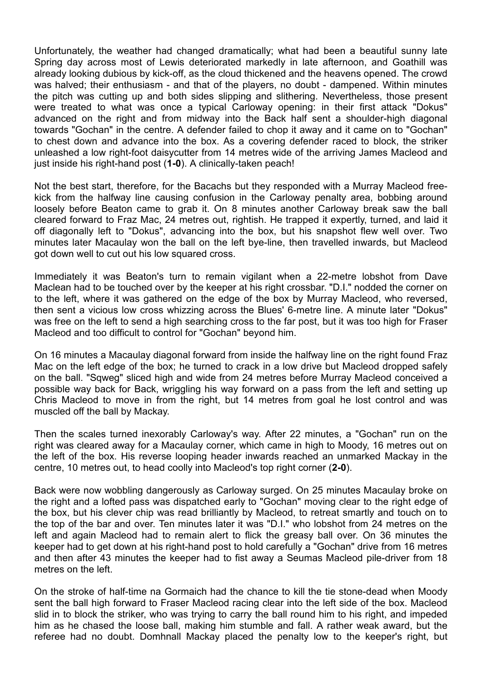Unfortunately, the weather had changed dramatically; what had been a beautiful sunny late Spring day across most of Lewis deteriorated markedly in late afternoon, and Goathill was already looking dubious by kick-off, as the cloud thickened and the heavens opened. The crowd was halved; their enthusiasm - and that of the players, no doubt - dampened. Within minutes the pitch was cutting up and both sides slipping and slithering. Nevertheless, those present were treated to what was once a typical Carloway opening: in their first attack "Dokus" advanced on the right and from midway into the Back half sent a shoulder-high diagonal towards "Gochan" in the centre. A defender failed to chop it away and it came on to "Gochan" to chest down and advance into the box. As a covering defender raced to block, the striker unleashed a low right-foot daisycutter from 14 metres wide of the arriving James Macleod and just inside his right-hand post (**1-0**). A clinically-taken peach!

Not the best start, therefore, for the Bacachs but they responded with a Murray Macleod freekick from the halfway line causing confusion in the Carloway penalty area, bobbing around loosely before Beaton came to grab it. On 8 minutes another Carloway break saw the ball cleared forward to Fraz Mac, 24 metres out, rightish. He trapped it expertly, turned, and laid it off diagonally left to "Dokus", advancing into the box, but his snapshot flew well over. Two minutes later Macaulay won the ball on the left bye-line, then travelled inwards, but Macleod got down well to cut out his low squared cross.

Immediately it was Beaton's turn to remain vigilant when a 22-metre lobshot from Dave Maclean had to be touched over by the keeper at his right crossbar. "D.I." nodded the corner on to the left, where it was gathered on the edge of the box by Murray Macleod, who reversed, then sent a vicious low cross whizzing across the Blues' 6-metre line. A minute later "Dokus" was free on the left to send a high searching cross to the far post, but it was too high for Fraser Macleod and too difficult to control for "Gochan" beyond him.

On 16 minutes a Macaulay diagonal forward from inside the halfway line on the right found Fraz Mac on the left edge of the box; he turned to crack in a low drive but Macleod dropped safely on the ball. "Sqweg" sliced high and wide from 24 metres before Murray Macleod conceived a possible way back for Back, wriggling his way forward on a pass from the left and setting up Chris Macleod to move in from the right, but 14 metres from goal he lost control and was muscled off the ball by Mackay.

Then the scales turned inexorably Carloway's way. After 22 minutes, a "Gochan" run on the right was cleared away for a Macaulay corner, which came in high to Moody, 16 metres out on the left of the box. His reverse looping header inwards reached an unmarked Mackay in the centre, 10 metres out, to head coolly into Macleod's top right corner (**2-0**).

Back were now wobbling dangerously as Carloway surged. On 25 minutes Macaulay broke on the right and a lofted pass was dispatched early to "Gochan" moving clear to the right edge of the box, but his clever chip was read brilliantly by Macleod, to retreat smartly and touch on to the top of the bar and over. Ten minutes later it was "D.I." who lobshot from 24 metres on the left and again Macleod had to remain alert to flick the greasy ball over. On 36 minutes the keeper had to get down at his right-hand post to hold carefully a "Gochan" drive from 16 metres and then after 43 minutes the keeper had to fist away a Seumas Macleod pile-driver from 18 metres on the left.

On the stroke of half-time na Gormaich had the chance to kill the tie stone-dead when Moody sent the ball high forward to Fraser Macleod racing clear into the left side of the box. Macleod slid in to block the striker, who was trying to carry the ball round him to his right, and impeded him as he chased the loose ball, making him stumble and fall. A rather weak award, but the referee had no doubt. Domhnall Mackay placed the penalty low to the keeper's right, but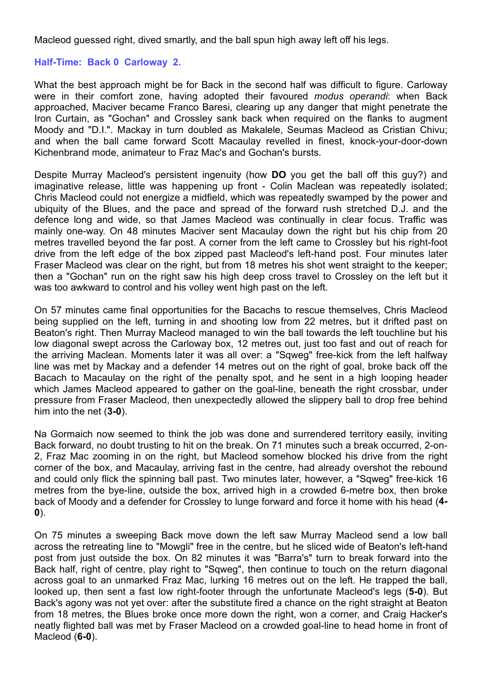Macleod guessed right, dived smartly, and the ball spun high away left off his legs.

## **Half-Time: Back 0 Carloway 2.**

What the best approach might be for Back in the second half was difficult to figure. Carloway were in their comfort zone, having adopted their favoured *modus operandi*: when Back approached, Maciver became Franco Baresi, clearing up any danger that might penetrate the Iron Curtain, as "Gochan" and Crossley sank back when required on the flanks to augment Moody and "D.I.". Mackay in turn doubled as Makalele, Seumas Macleod as Cristian Chivu; and when the ball came forward Scott Macaulay revelled in finest, knock-your-door-down Kichenbrand mode, animateur to Fraz Mac's and Gochan's bursts.

Despite Murray Macleod's persistent ingenuity (how **DO** you get the ball off this guy?) and imaginative release, little was happening up front - Colin Maclean was repeatedly isolated; Chris Macleod could not energize a midfield, which was repeatedly swamped by the power and ubiquity of the Blues, and the pace and spread of the forward rush stretched D.J. and the defence long and wide, so that James Macleod was continually in clear focus. Traffic was mainly one-way. On 48 minutes Maciver sent Macaulay down the right but his chip from 20 metres travelled beyond the far post. A corner from the left came to Crossley but his right-foot drive from the left edge of the box zipped past Macleod's left-hand post. Four minutes later Fraser Macleod was clear on the right, but from 18 metres his shot went straight to the keeper; then a "Gochan" run on the right saw his high deep cross travel to Crossley on the left but it was too awkward to control and his volley went high past on the left.

On 57 minutes came final opportunities for the Bacachs to rescue themselves, Chris Macleod being supplied on the left, turning in and shooting low from 22 metres, but it drifted past on Beaton's right. Then Murray Macleod managed to win the ball towards the left touchline but his low diagonal swept across the Carloway box, 12 metres out, just too fast and out of reach for the arriving Maclean. Moments later it was all over: a "Sqweg" free-kick from the left halfway line was met by Mackay and a defender 14 metres out on the right of goal, broke back off the Bacach to Macaulay on the right of the penalty spot, and he sent in a high looping header which James Macleod appeared to gather on the goal-line, beneath the right crossbar, under pressure from Fraser Macleod, then unexpectedly allowed the slippery ball to drop free behind him into the net (**3-0**).

Na Gormaich now seemed to think the job was done and surrendered territory easily, inviting Back forward, no doubt trusting to hit on the break. On 71 minutes such a break occurred, 2-on-2, Fraz Mac zooming in on the right, but Macleod somehow blocked his drive from the right corner of the box, and Macaulay, arriving fast in the centre, had already overshot the rebound and could only flick the spinning ball past. Two minutes later, however, a "Sqweg" free-kick 16 metres from the bye-line, outside the box, arrived high in a crowded 6-metre box, then broke back of Moody and a defender for Crossley to lunge forward and force it home with his head (**4- 0**).

On 75 minutes a sweeping Back move down the left saw Murray Macleod send a low ball across the retreating line to "Mowgli" free in the centre, but he sliced wide of Beaton's left-hand post from just outside the box. On 82 minutes it was "Barra's" turn to break forward into the Back half, right of centre, play right to "Sqweg", then continue to touch on the return diagonal across goal to an unmarked Fraz Mac, lurking 16 metres out on the left. He trapped the ball, looked up, then sent a fast low right-footer through the unfortunate Macleod's legs (**5-0**). But Back's agony was not yet over: after the substitute fired a chance on the right straight at Beaton from 18 metres, the Blues broke once more down the right, won a corner, and Craig Hacker's neatly flighted ball was met by Fraser Macleod on a crowded goal-line to head home in front of Macleod (**6-0**).